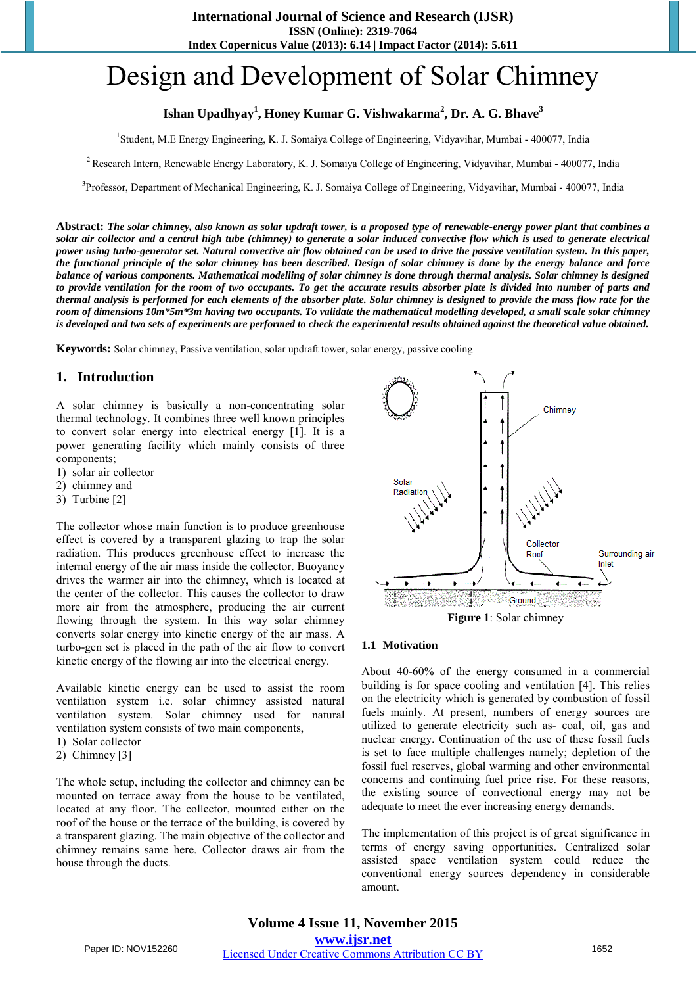# Design and Development of Solar Chimney

# **Ishan Upadhyay<sup>1</sup> , Honey Kumar G. Vishwakarma<sup>2</sup> , Dr. A. G. Bhave<sup>3</sup>**

1 Student, M.E Energy Engineering, K. J. Somaiya College of Engineering, Vidyavihar, Mumbai - 400077, India

<sup>2</sup> Research Intern, Renewable Energy Laboratory, K. J. Somaiya College of Engineering, Vidyavihar, Mumbai - 400077, India

<sup>3</sup>Professor, Department of Mechanical Engineering, K. J. Somaiya College of Engineering, Vidyavihar, Mumbai - 400077, India

**Abstract:** *The solar chimney, also known as solar updraft tower, is a proposed type of renewable-energy power plant that combines a solar air collector and a central high tube (chimney) to generate a solar induced convective flow which is used to generate electrical power using turbo-generator set. Natural convective air flow obtained can be used to drive the passive ventilation system. In this paper, the functional principle of the solar chimney has been described. Design of solar chimney is done by the energy balance and force balance of various components. Mathematical modelling of solar chimney is done through thermal analysis. Solar chimney is designed to provide ventilation for the room of two occupants. To get the accurate results absorber plate is divided into number of parts and thermal analysis is performed for each elements of the absorber plate. Solar chimney is designed to provide the mass flow rate for the room of dimensions 10m\*5m\*3m having two occupants. To validate the mathematical modelling developed, a small scale solar chimney is developed and two sets of experiments are performed to check the experimental results obtained against the theoretical value obtained.* 

**Keywords:** Solar chimney, Passive ventilation, solar updraft tower, solar energy, passive cooling

## **1. Introduction**

A solar chimney is basically a non-concentrating solar thermal technology. It combines three well known principles to convert solar energy into electrical energy [1]. It is a power generating facility which mainly consists of three components;

- 1) solar air collector
- 2) chimney and
- 3) Turbine [2]

The collector whose main function is to produce greenhouse effect is covered by a transparent glazing to trap the solar radiation. This produces greenhouse effect to increase the internal energy of the air mass inside the collector. Buoyancy drives the warmer air into the chimney, which is located at the center of the collector. This causes the collector to draw more air from the atmosphere, producing the air current flowing through the system. In this way solar chimney converts solar energy into kinetic energy of the air mass. A turbo-gen set is placed in the path of the air flow to convert kinetic energy of the flowing air into the electrical energy.

Available kinetic energy can be used to assist the room ventilation system i.e. solar chimney assisted natural ventilation system. Solar chimney used for natural ventilation system consists of two main components,

- 1) Solar collector
- 2) Chimney [3]

The whole setup, including the collector and chimney can be mounted on terrace away from the house to be ventilated, located at any floor. The collector, mounted either on the roof of the house or the terrace of the building, is covered by a transparent glazing. The main objective of the collector and chimney remains same here. Collector draws air from the house through the ducts.



**Figure 1**: Solar chimney

#### **1.1 Motivation**

About 40-60% of the energy consumed in a commercial building is for space cooling and ventilation [4]. This relies on the electricity which is generated by combustion of fossil fuels mainly. At present, numbers of energy sources are utilized to generate electricity such as- coal, oil, gas and nuclear energy. Continuation of the use of these fossil fuels is set to face multiple challenges namely; depletion of the fossil fuel reserves, global warming and other environmental concerns and continuing fuel price rise. For these reasons, the existing source of convectional energy may not be adequate to meet the ever increasing energy demands.

The implementation of this project is of great significance in terms of energy saving opportunities. Centralized solar assisted space ventilation system could reduce the conventional energy sources dependency in considerable amount.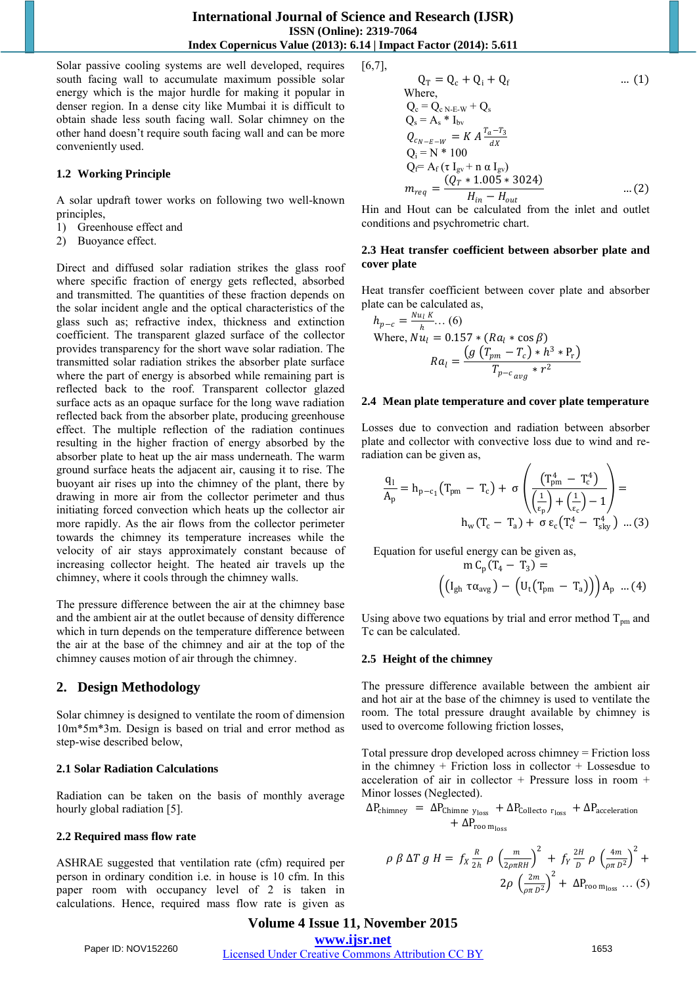Solar passive cooling systems are well developed, requires south facing wall to accumulate maximum possible solar energy which is the major hurdle for making it popular in denser region. In a dense city like Mumbai it is difficult to obtain shade less south facing wall. Solar chimney on the other hand doesn't require south facing wall and can be more conveniently used.

#### **1.2 Working Principle**

A solar updraft tower works on following two well-known principles,

- 1) Greenhouse effect and
- 2) Buoyance effect.

Direct and diffused solar radiation strikes the glass roof where specific fraction of energy gets reflected, absorbed and transmitted. The quantities of these fraction depends on the solar incident angle and the optical characteristics of the glass such as; refractive index, thickness and extinction coefficient. The transparent glazed surface of the collector provides transparency for the short wave solar radiation. The transmitted solar radiation strikes the absorber plate surface where the part of energy is absorbed while remaining part is reflected back to the roof. Transparent collector glazed surface acts as an opaque surface for the long wave radiation reflected back from the absorber plate, producing greenhouse effect. The multiple reflection of the radiation continues resulting in the higher fraction of energy absorbed by the absorber plate to heat up the air mass underneath. The warm ground surface heats the adjacent air, causing it to rise. The buoyant air rises up into the chimney of the plant, there by drawing in more air from the collector perimeter and thus initiating forced convection which heats up the collector air more rapidly. As the air flows from the collector perimeter towards the chimney its temperature increases while the velocity of air stays approximately constant because of increasing collector height. The heated air travels up the chimney, where it cools through the chimney walls.

The pressure difference between the air at the chimney base and the ambient air at the outlet because of density difference which in turn depends on the temperature difference between the air at the base of the chimney and air at the top of the chimney causes motion of air through the chimney.

# **2. Design Methodology**

Solar chimney is designed to ventilate the room of dimension 10m\*5m\*3m. Design is based on trial and error method as step-wise described below,

#### **2.1 Solar Radiation Calculations**

Radiation can be taken on the basis of monthly average hourly global radiation [5].

#### **2.2 Required mass flow rate**

ASHRAE suggested that ventilation rate (cfm) required per person in ordinary condition i.e. in house is 10 cfm. In this paper room with occupancy level of 2 is taken in calculations. Hence, required mass flow rate is given as

$$
[6,7],
$$

$$
Q_{T} = Q_{c} + Q_{i} + Q_{f}
$$
 ... (1)  
Where,  

$$
Q_{c} = Q_{c N-E-W} + Q_{s}
$$
  

$$
Q_{s} = A_{s} * I_{bv}
$$
  

$$
Q_{c_{N-E-W}} = K A \frac{r_{a} - r_{3}}{dx}
$$
  

$$
Q_{i} = N * 100
$$
  

$$
Q_{f} = A_{f} (\tau I_{gv} + n \alpha I_{gv})
$$
  

$$
m_{req} = \frac{(Q_{T} * 1.005 * 3024)}{H_{in} - H_{out}}
$$
 ... (2)

Hin and Hout can be calculated from the inlet and outlet conditions and psychrometric chart.

#### **2.3 Heat transfer coefficient between absorber plate and cover plate**

Heat transfer coefficient between cover plate and absorber plate can be calculated as,

$$
h_{p-c} = \frac{Nu_{l}K}{h} \dots (6)
$$
  
Where,  $Nu_{l} = 0.157 * (Ra_{l} * \cos \beta)$   

$$
Ra_{l} = \frac{(g (T_{pm} - T_{c}) * h^{3} * P_{r})}{T_{p-c_{avg}} * r^{2}}
$$

#### **2.4 Mean plate temperature and cover plate temperature**

Losses due to convection and radiation between absorber plate and collector with convective loss due to wind and reradiation can be given as,

$$
\frac{q_1}{A_p} = h_{p-c_1}(T_{pm} - T_c) + \sigma \left( \frac{(T_{pm}^4 - T_c^4)}{\left(\frac{1}{\epsilon_p}\right) + \left(\frac{1}{\epsilon_c}\right) - 1} \right) =
$$
  

$$
h_w(T_c - T_a) + \sigma \epsilon_c (T_c^4 - T_{sky}^4) \dots (3)
$$

Equation for useful energy can be given as,

$$
m C_p (T_4 - T_3) =
$$

$$
\left( \left( I_{gh} \tau \alpha_{avg} \right) - \left( U_t \left( T_{pm} - T_a \right) \right) \right) A_p \dots (4)
$$

Using above two equations by trial and error method  $T_{pm}$  and Tc can be calculated.

#### **2.5 Height of the chimney**

The pressure difference available between the ambient air and hot air at the base of the chimney is used to ventilate the room. The total pressure draught available by chimney is used to overcome following friction losses,

Total pressure drop developed across chimney = Friction loss in the chimney  $+$  Friction loss in collector  $+$  Lossesdue to acceleration of air in collector + Pressure loss in room + Minor losses (Neglected).

$$
\Delta P_{\text{chimney}} = \Delta P_{\text{Chimne } y_{\text{loss}}} + \Delta P_{\text{Collecto } r_{\text{loss}}} + \Delta P_{\text{acceleration}} + \Delta P_{\text{roo } m_{\text{loss}}}
$$

$$
\rho \beta \Delta T g H = f_X \frac{R}{2h} \rho \left(\frac{m}{2\rho \pi R H}\right)^2 + f_Y \frac{2H}{D} \rho \left(\frac{4m}{\rho \pi D^2}\right)^2 + 2\rho \left(\frac{2m}{\rho \pi D^2}\right)^2 + \Delta P_{\text{roo } m_{\text{loss}}} \dots (5)
$$

**Volume 4 Issue 11, November 2015 www.ijsr.net** Paper ID: NOV152260 Licensed Under Creative Commons Attribution CC BY 1653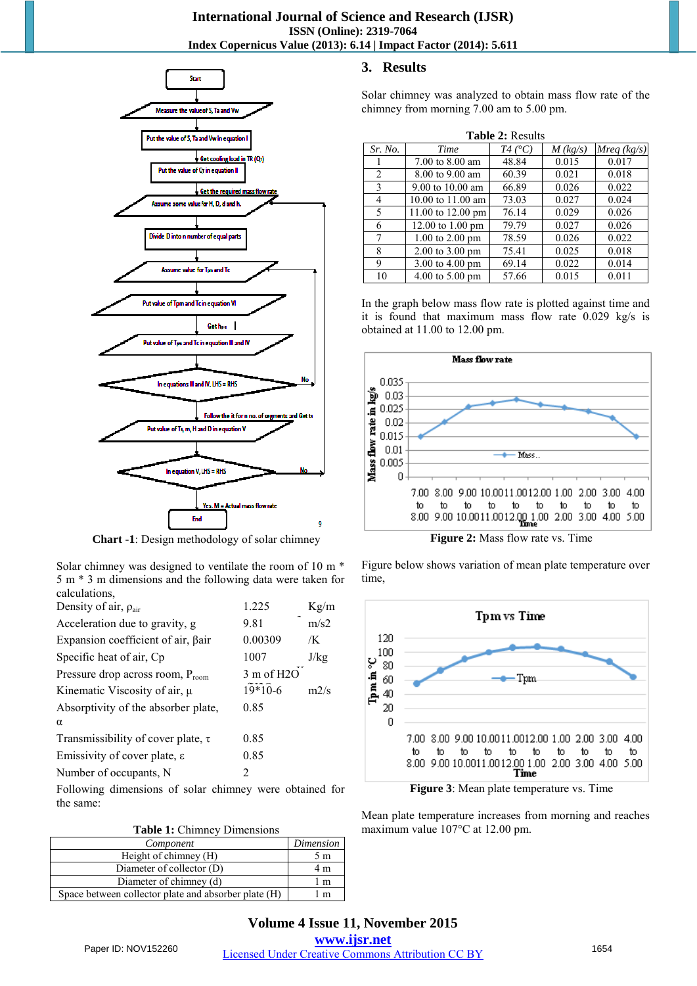## **International Journal of Science and Research (IJSR) ISSN (Online): 2319-7064 Index Copernicus Value (2013): 6.14 | Impact Factor (2014): 5.611**



**Chart -1**: Design methodology of solar chimney

Solar chimney was designed to ventilate the room of 10 m \* 5 m \* 3 m dimensions and the following data were taken for calculations,

| Density of air, $\rho_{\text{air}}$          | 1.225                 | Kg/m |
|----------------------------------------------|-----------------------|------|
| Acceleration due to gravity, g               | 9.81                  | m/s2 |
| Expansion coefficient of air, βair           | 0.00309               | /K   |
| Specific heat of air, Cp                     | 1007                  | J/kg |
| Pressure drop across room, $P_{\text{room}}$ | $3 \text{ m of } H2O$ |      |
| Kinematic Viscosity of air, $\mu$            | $19*10-6$             | m2/s |
| Absorptivity of the absorber plate,          | 0.85                  |      |
| α                                            |                       |      |
| Transmissibility of cover plate, $\tau$      | 0.85                  |      |
| Emissivity of cover plate, $\varepsilon$     | 0.85                  |      |
| Number of occupants, N                       | 2                     |      |
|                                              |                       |      |

Following dimensions of solar chimney were obtained for the same:

**Table 1:** Chimney Dimensions

| Component                                            | Dimension |
|------------------------------------------------------|-----------|
| Height of chimney (H)                                | 5m        |
| Diameter of collector (D)                            | 4 m       |
| Diameter of chimney (d)                              | 1 m       |
| Space between collector plate and absorber plate (H) | m         |

# **3. Results**

Solar chimney was analyzed to obtain mass flow rate of the chimney from morning 7.00 am to 5.00 pm.

| <b>Table 2: Results</b> |                                    |                 |            |             |  |  |  |  |  |
|-------------------------|------------------------------------|-----------------|------------|-------------|--|--|--|--|--|
| Sr. No.                 | Time                               | $T4(^{\circ}C)$ | $M$ (kg/s) | Mreq (kg/s) |  |  |  |  |  |
|                         | 7.00 to 8.00 am                    | 48.84           | 0.015      | 0.017       |  |  |  |  |  |
| 2                       | 8.00 to 9.00 am                    | 60.39           | 0.021      | 0.018       |  |  |  |  |  |
| 3                       | 9.00 to $10.00$ am                 | 66.89           | 0.026      | 0.022       |  |  |  |  |  |
| 4                       | 10.00 to $11.00$ am                | 73.03           | 0.027      | 0.024       |  |  |  |  |  |
| 5                       | 11.00 to 12.00 pm                  | 76.14           | 0.029      | 0.026       |  |  |  |  |  |
| 6                       | 12.00 to $1.00 \text{ pm}$         | 79.79           | 0.027      | 0.026       |  |  |  |  |  |
| 7                       | $1.00 \text{ to } 2.00 \text{ pm}$ | 78.59           | 0.026      | 0.022       |  |  |  |  |  |
| 8                       | $2.00 \text{ to } 3.00 \text{ pm}$ | 75.41           | 0.025      | 0.018       |  |  |  |  |  |
| 9                       | $3.00$ to $4.00$ pm                | 69.14           | 0.022      | 0.014       |  |  |  |  |  |
| 10                      | $4.00 \text{ to } 5.00 \text{ pm}$ | 57.66           | 0.015      | 0.011       |  |  |  |  |  |

In the graph below mass flow rate is plotted against time and it is found that maximum mass flow rate 0.029 kg/s is obtained at 11.00 to 12.00 pm.



**Figure 2:** Mass flow rate vs. Time

Figure below shows variation of mean plate temperature over time,



**Figure 3**: Mean plate temperature vs. Time

Mean plate temperature increases from morning and reaches maximum value 107°C at 12.00 pm.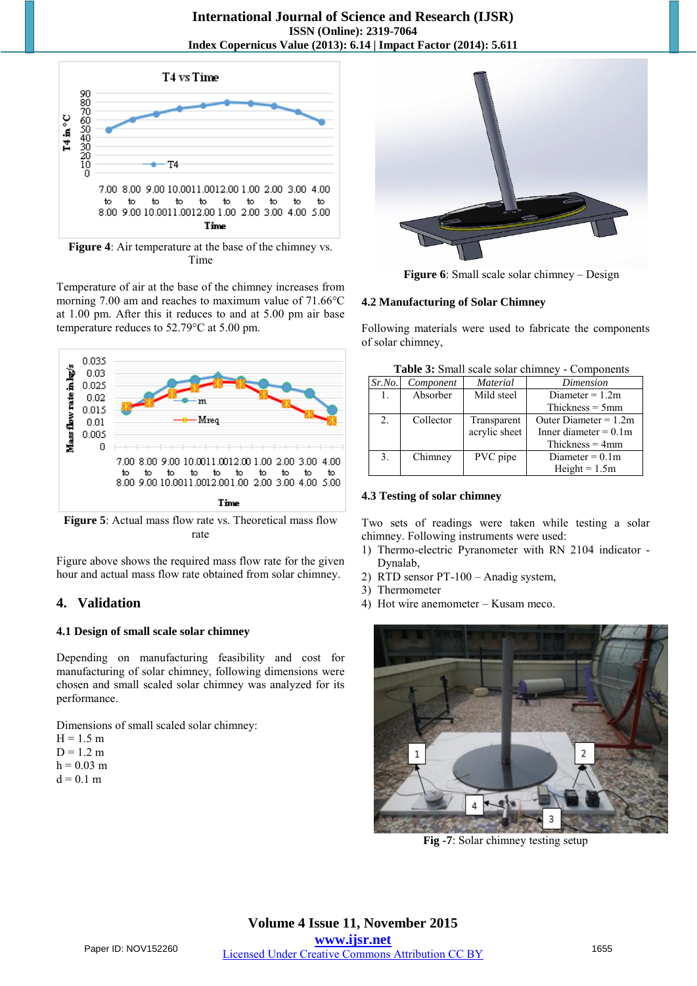

**Figure 4**: Air temperature at the base of the chimney vs. Time

Temperature of air at the base of the chimney increases from morning 7.00 am and reaches to maximum value of 71.66°C at 1.00 pm. After this it reduces to and at 5.00 pm air base temperature reduces to 52.79°C at 5.00 pm.



**Figure 5**: Actual mass flow rate vs. Theoretical mass flow rate

Figure above shows the required mass flow rate for the given hour and actual mass flow rate obtained from solar chimney.

# **4. Validation**

# **4.1 Design of small scale solar chimney**

Depending on manufacturing feasibility and cost for manufacturing of solar chimney, following dimensions were chosen and small scaled solar chimney was analyzed for its performance.

Dimensions of small scaled solar chimney:  $H = 1.5$  m

- $D = 1.2$  m
- $h = 0.03$  m
- $d = 0.1$  m



**Figure 6**: Small scale solar chimney – Design

## **4.2 Manufacturing of Solar Chimney**

Following materials were used to fabricate the components of solar chimney,

| Table 3: Small scale solar chimney - Components |  |
|-------------------------------------------------|--|
|-------------------------------------------------|--|

| Sr.No. | Component | <b>Material</b> | Dimension                |
|--------|-----------|-----------------|--------------------------|
| 1.     | Absorber  | Mild steel      | Diameter $= 1.2$ m       |
|        |           |                 | Thickness $=$ 5mm        |
| 2.     | Collector | Transparent     | Outer Diameter $= 1.2$ m |
|        |           | acrylic sheet   | Inner diameter $= 0.1$ m |
|        |           |                 | Thickness $=$ 4mm        |
| 3.     | Chimney   | PVC pipe        | Diameter = $0.1$ m       |
|        |           |                 | $Height = 1.5m$          |

# **4.3 Testing of solar chimney**

Two sets of readings were taken while testing a solar chimney. Following instruments were used:

- 1) Thermo-electric Pyranometer with RN 2104 indicator Dynalab,
- 2) RTD sensor PT-100 Anadig system,
- 3) Thermometer
- 4) Hot wire anemometer Kusam meco.



**Fig -7**: Solar chimney testing setup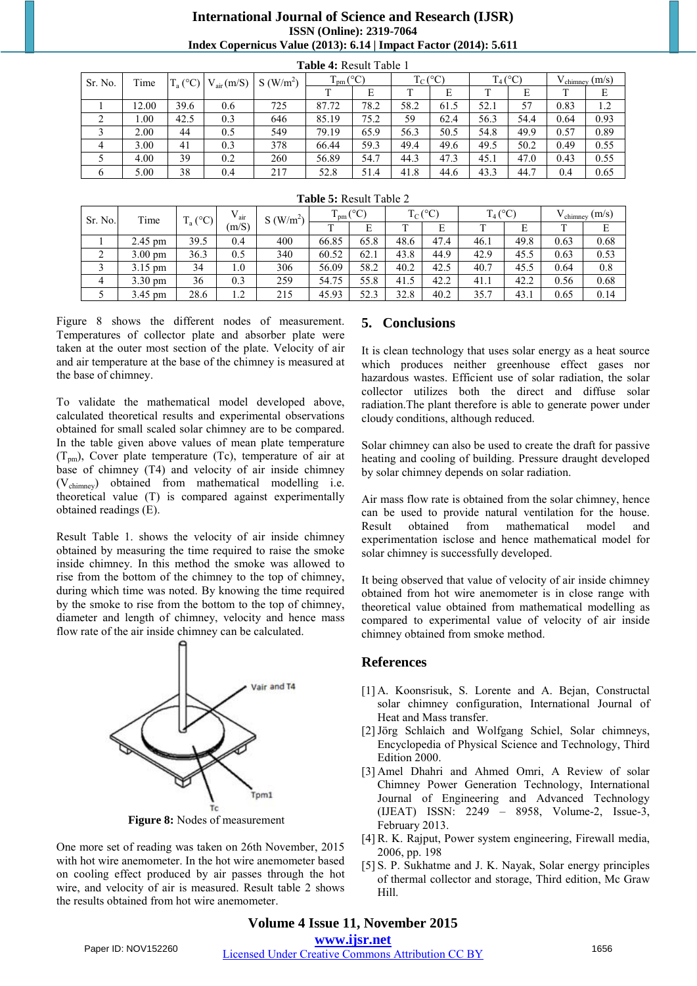## **International Journal of Science and Research (IJSR) ISSN (Online): 2319-7064 Index Copernicus Value (2013): 6.14 | Impact Factor (2014): 5.611**

**Table 4:** Result Table 1

| 1 adie 4: Result Table 1 |       |            |                |                      |               |      |              |      |            |      |                            |      |
|--------------------------|-------|------------|----------------|----------------------|---------------|------|--------------|------|------------|------|----------------------------|------|
| Sr. No.                  | Time  | $T_a$ (°C) | $V_{air}(m/S)$ | S(W/m <sup>2</sup> ) | $T_{pm}$ (°C) |      | $T_{C}$ (°C) |      | $T_4$ (°C) |      | $V_{\text{chimney}} (m/s)$ |      |
|                          |       |            |                |                      |               | E    |              | E    |            | E    |                            | Ε    |
|                          | 12.00 | 39.6       | 0.6            | 725                  | 87.72         | 78.2 | 58.2         | 61.5 | 52.1       | 57   | 0.83                       | 1.2  |
| 2                        | 0.00  | 42.5       | 0.3            | 646                  | 85.19         | 75.2 | 59           | 62.4 | 56.3       | 54.4 | 0.64                       | 0.93 |
|                          | 2.00  | 44         | 0.5            | 549                  | 79.19         | 65.9 | 56.3         | 50.5 | 54.8       | 49.9 | 0.57                       | 0.89 |
| 4                        | 3.00  | 41         | 0.3            | 378                  | 66.44         | 59.3 | 49.4         | 49.6 | 49.5       | 50.2 | 0.49                       | 0.55 |
|                          | 4.00  | 39         | 0.2            | 260                  | 56.89         | 54.7 | 44.3         | 47.3 | 45.1       | 47.0 | 0.43                       | 0.55 |
| 6                        | 5.00  | 38         | 0.4            | 217                  | 52.8          | 51.4 | 41.8         | 44.6 | 43.3       | 44.7 | 0.4                        | 0.65 |

| <b>Table 5:</b> Result Table 2 |                   |            |           |                         |               |      |      |              |            |      |      |                            |
|--------------------------------|-------------------|------------|-----------|-------------------------|---------------|------|------|--------------|------------|------|------|----------------------------|
| Sr. No.                        | Time              | $T_a$ (°C) | $V_{air}$ | $S$ (W/m <sup>2</sup> ) | $T_{pm}$ (°C) |      |      | $T_{C}$ (°C) | $T_4$ (°C) |      |      | $V_{\text{chimney}} (m/s)$ |
|                                |                   |            | (m/S)     |                         |               | E    |      | E            |            | E    |      | Е                          |
|                                | $2.45$ pm         | 39.5       | 0.4       | 400                     | 66.85         | 65.8 | 48.6 | 47.4         | 46.1       | 49.8 | 0.63 | 0.68                       |
| 2                              | $3.00 \text{ pm}$ | 36.3       | 0.5       | 340                     | 60.52         | 62.1 | 43.8 | 44.9         | 42.9       | 45.5 | 0.63 | 0.53                       |
|                                | $3.15 \text{ pm}$ | 34         | 1.0       | 306                     | 56.09         | 58.2 | 40.2 | 42.5         | 40.7       | 45.5 | 0.64 | 0.8                        |
| $\overline{4}$                 | $3.30 \text{ pm}$ | 36         | 0.3       | 259                     | 54.75         | 55.8 | 41.5 | 42.2         | 41.1       | 42.2 | 0.56 | 0.68                       |
|                                | $3.45$ pm         | 28.6       | 1.2       | 215                     | 45.93         | 52.3 | 32.8 | 40.2         | 35.7       | 43.1 | 0.65 | 0.14                       |

Figure 8 shows the different nodes of measurement. Temperatures of collector plate and absorber plate were taken at the outer most section of the plate. Velocity of air and air temperature at the base of the chimney is measured at the base of chimney.

To validate the mathematical model developed above, calculated theoretical results and experimental observations obtained for small scaled solar chimney are to be compared. In the table given above values of mean plate temperature  $(T<sub>nm</sub>)$ , Cover plate temperature (Tc), temperature of air at base of chimney (T4) and velocity of air inside chimney (Vchimney) obtained from mathematical modelling i.e. theoretical value (T) is compared against experimentally obtained readings (E).

Result Table 1. shows the velocity of air inside chimney obtained by measuring the time required to raise the smoke inside chimney. In this method the smoke was allowed to rise from the bottom of the chimney to the top of chimney, during which time was noted. By knowing the time required by the smoke to rise from the bottom to the top of chimney, diameter and length of chimney, velocity and hence mass flow rate of the air inside chimney can be calculated.



**Figure 8:** Nodes of measurement

One more set of reading was taken on 26th November, 2015 with hot wire anemometer. In the hot wire anemometer based on cooling effect produced by air passes through the hot wire, and velocity of air is measured. Result table 2 shows the results obtained from hot wire anemometer.

## **5. Conclusions**

It is clean technology that uses solar energy as a heat source which produces neither greenhouse effect gases nor hazardous wastes. Efficient use of solar radiation, the solar collector utilizes both the direct and diffuse solar radiation.The plant therefore is able to generate power under cloudy conditions, although reduced.

Solar chimney can also be used to create the draft for passive heating and cooling of building. Pressure draught developed by solar chimney depends on solar radiation.

Air mass flow rate is obtained from the solar chimney, hence can be used to provide natural ventilation for the house. Result obtained from mathematical model and experimentation isclose and hence mathematical model for solar chimney is successfully developed.

It being observed that value of velocity of air inside chimney obtained from hot wire anemometer is in close range with theoretical value obtained from mathematical modelling as compared to experimental value of velocity of air inside chimney obtained from smoke method.

## **References**

- [1] A. Koonsrisuk, S. Lorente and A. Bejan, Constructal solar chimney configuration, International Journal of Heat and Mass transfer.
- [2]Jörg Schlaich and Wolfgang Schiel, Solar chimneys, Encyclopedia of Physical Science and Technology, Third Edition 2000.
- [3] Amel Dhahri and Ahmed Omri, A Review of solar Chimney Power Generation Technology, International Journal of Engineering and Advanced Technology (IJEAT) ISSN: 2249 – 8958, Volume-2, Issue-3, February 2013.
- [4] R. K. Rajput, Power system engineering, Firewall media, 2006, pp. 198
- [5] S. P. Sukhatme and J. K. Nayak, Solar energy principles of thermal collector and storage, Third edition, Mc Graw Hill.